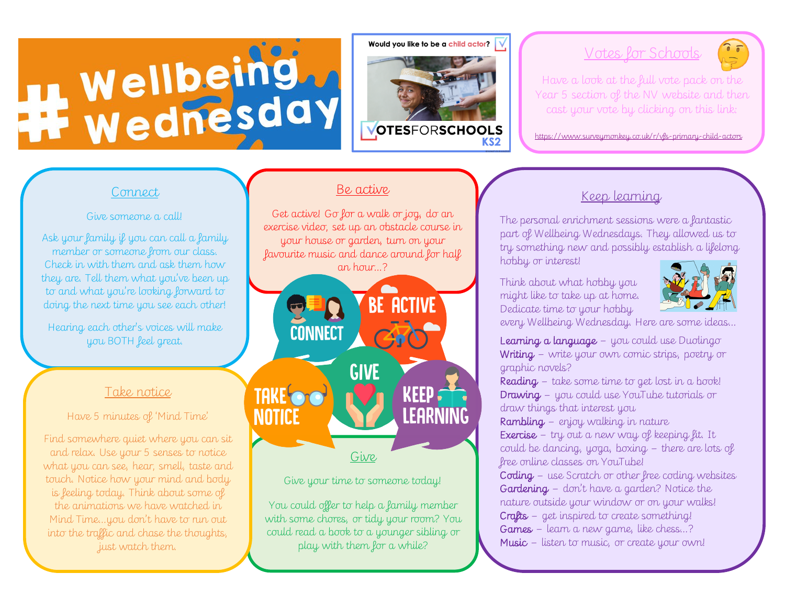# Wellbeing.

Would you like to be a child actor?



#### Votes for Schools

Have a look at the full vote pack on the Year 5 section of the NV website and then cast your vote by clicking on this link:

https://www.surveymonkey.co.uk/r/vfs-primary-child-actors

#### Connect

#### Give someone a call!

Ask your family if you can call a family member or someone from our class. Check in with them and ask them how they are. Tell them what you've been up to and what you're looking forward to doing the next time you see each other!

Hearing each other's voices will make you BOTH feel great.

#### Take notice

Have 5 minutes of 'Mind Time'

Find somewhere quiet where you can sit and relax. Use your 5 senses to notice what you can see, hear, smell, taste and touch. Notice how your mind and body is feeling today. Think about some of the animations we have watched in Mind Time…you don't have to run out into the traffic and chase the thoughts, just watch them.

#### Be active

Get active! Go for a walk or jog, do an exercise video, set up an obstacle course in your house or garden, turn on your favourite music and dance around for half an hour…?



#### Give your time to someone today!

You could offer to help a family member with some chores, or tidy your room? You could read a book to a younger sibling or play with them for a while?

#### Keep learning

The personal enrichment sessions were a fantastic part of Wellbeing Wednesdays. They allowed us to try something new and possibly establish a lifelong hobby or interest!

Think about what hobby you might like to take up at home. Dedicate time to your hobby



every Wellbeing Wednesday. Here are some ideas…

Learning a language – you could use Duolingo Writing – write your own comic strips, poetry or graphic novels?

Reading – take some time to get lost in a book! Drawing – you could use YouTube tutorials or draw things that interest you

Rambling – enjoy walking in nature Exercise – try out a new way of keeping fit. It

could be dancing, yoga, boxing – there are lots of free online classes on YouTube!

Coding – use Scratch or other free coding websites Gardening – don't have a garden? Notice the nature outside your window or on your walks! Crafts – get inspired to create something!

Games – learn a new game, like chess…?

Music – listen to music, or create your own!